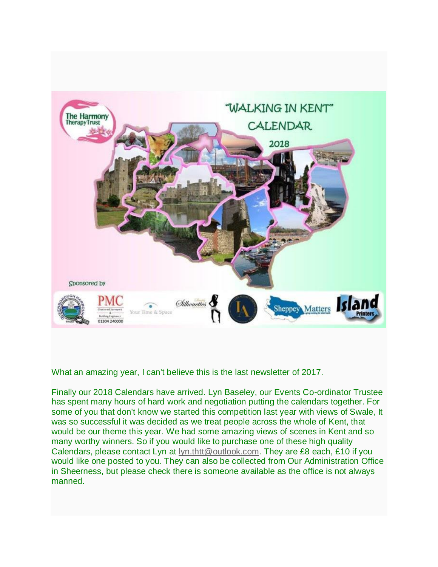

What an amazing year, I can't believe this is the last newsletter of 2017.

Finally our 2018 Calendars have arrived. Lyn Baseley, our Events Co-ordinator Trustee has spent many hours of hard work and negotiation putting the calendars together. For some of you that don't know we started this competition last year with views of Swale, It was so successful it was decided as we treat people across the whole of Kent, that would be our theme this year. We had some amazing views of scenes in Kent and so many worthy winners. So if you would like to purchase one of these high quality Calendars, please contact Lyn at [lyn.thtt@outlook.com.](mailto:lyn.thtt@outlook.com) They are £8 each, £10 if you would like one posted to you. They can also be collected from Our Administration Office in Sheerness, but please check there is someone available as the office is not always manned.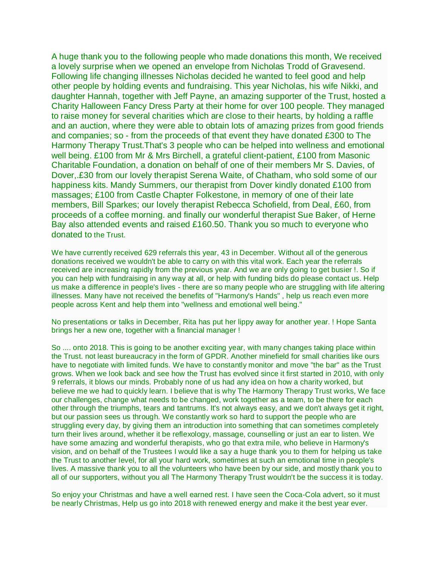A huge thank you to the following people who made donations this month, We received a lovely surprise when we opened an envelope from Nicholas Trodd of Gravesend. Following life changing illnesses Nicholas decided he wanted to feel good and help other people by holding events and fundraising. This year Nicholas, his wife Nikki, and daughter Hannah, together with Jeff Payne, an amazing supporter of the Trust, hosted a Charity Halloween Fancy Dress Party at their home for over 100 people. They managed to raise money for several charities which are close to their hearts, by holding a raffle and an auction, where they were able to obtain lots of amazing prizes from good friends and companies; so - from the proceeds of that event they have donated £300 to The Harmony Therapy Trust.That's 3 people who can be helped into wellness and emotional well being. £100 from Mr & Mrs Birchell, a grateful client-patient, £100 from Masonic Charitable Foundation, a donation on behalf of one of their members Mr S. Davies, of Dover,.£30 from our lovely therapist Serena Waite, of Chatham, who sold some of our happiness kits. Mandy Summers, our therapist from Dover kindly donated £100 from massages; £100 from Castle Chapter Folkestone, in memory of one of their late members, Bill Sparkes; our lovely therapist Rebecca Schofield, from Deal, £60, from proceeds of a coffee morning. and finally our wonderful therapist Sue Baker, of Herne Bay also attended events and raised £160.50. Thank you so much to everyone who donated to the Trust.

We have currently received 629 referrals this year, 43 in December. Without all of the generous donations received we wouldn't be able to carry on with this vital work. Each year the referrals received are increasing rapidly from the previous year. And we are only going to get busier !. So if you can help with fundraising in any way at all, or help with funding bids do please contact us. Help us make a difference in people's lives - there are so many people who are struggling with life altering illnesses. Many have not received the benefits of "Harmony's Hands" , help us reach even more people across Kent and help them into "wellness and emotional well being."

No presentations or talks in December, Rita has put her lippy away for another year. ! Hope Santa brings her a new one, together with a financial manager !

So .... onto 2018. This is going to be another exciting year, with many changes taking place within the Trust. not least bureaucracy in the form of GPDR. Another minefield for small charities like ours have to negotiate with limited funds. We have to constantly monitor and move "the bar" as the Trust grows. When we look back and see how the Trust has evolved since it first started in 2010, with only 9 referrals, it blows our minds. Probably none of us had any idea on how a charity worked, but believe me we had to quickly learn. I believe that is why The Harmony Therapy Trust works, We face our challenges, change what needs to be changed, work together as a team, to be there for each other through the triumphs, tears and tantrums. It's not always easy, and we don't always get it right, but our passion sees us through. We constantly work so hard to support the people who are struggling every day, by giving them an introduction into something that can sometimes completely turn their lives around, whether it be reflexology, massage, counselling or just an ear to listen. We have some amazing and wonderful therapists, who go that extra mile, who believe in Harmony's vision, and on behalf of the Trustees I would like a say a huge thank you to them for helping us take the Trust to another level, for all your hard work, sometimes at such an emotional time in people's lives. A massive thank you to all the volunteers who have been by our side, and mostly thank you to all of our supporters, without you all The Harmony Therapy Trust wouldn't be the success it is today.

So enjoy your Christmas and have a well earned rest. I have seen the Coca-Cola advert, so it must be nearly Christmas, Help us go into 2018 with renewed energy and make it the best year ever.